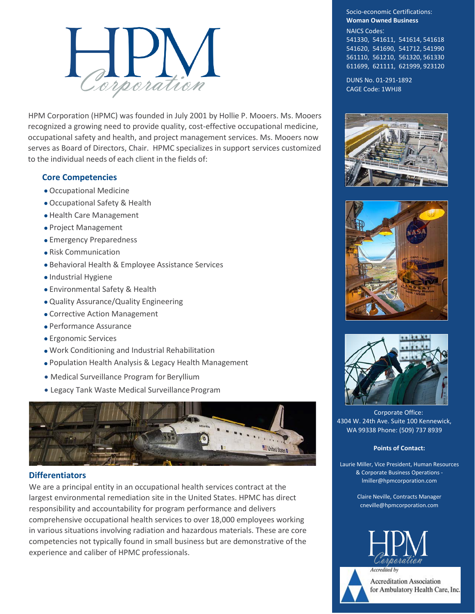

HPM Corporation (HPMC) was founded in July 2001 by Hollie P. Mooers. Ms. Mooers recognized a growing need to provide quality, cost-effective occupational medicine, occupational safety and health, and project management services. Ms. Mooers now serves as Board of Directors, Chair. HPMC specializes in support services customized to the individual needs of each client in the fields of:

# **Core Competencies**

- Occupational Medicine
- Occupational Safety & Health
- Health Care Management
- Project Management
- Emergency Preparedness
- Risk Communication
- Behavioral Health & Employee Assistance Services
- Industrial Hygiene
- Environmental Safety & Health
- Quality Assurance/Quality Engineering
- Corrective Action Management
- Performance Assurance
- Ergonomic Services
- Work Conditioning and Industrial Rehabilitation
- Population Health Analysis & Legacy Health Management
- Medical Surveillance Program for Beryllium
- Legacy Tank Waste Medical Surveillance Program



## **Differentiators**

We are a principal entity in an occupational health services contract at the largest environmental remediation site in the United States. HPMC has direct responsibility and accountability for program performance and delivers comprehensive occupational health services to over 18,000 employees working in various situations involving radiation and hazardous materials. These are core competencies not typically found in small business but are demonstrative of the experience and caliber of HPMC professionals.

Socio-economic Certifications: **Woman Owned Business** NAICS Codes: 541330, 541611, 541614, 541618 541620, 541690, 541712, 541990 561110, 561210, 561320, 561330

611699, 621111, 621999, 923120

DUNS No. 01-291-1892 CAGE Code: 1WHJ8







Corporate Office: 4304 W. 24th Ave. Suite 100 Kennewick, WA 99338 Phone: (509) 737 8939

### **Points of Contact:**

Laurie Miller, Vice President, Human Resources & Corporate Business Operations [lmiller@hpmcorporation.com](mailto:lmiller@hpmcorporation.com)

> Claire Neville, Contracts Manager [cneville@hpmcorporation.com](mailto:sreynolds@hpmcorporation.com)



**Accreditation Association** for Ambulatory Health Care, Inc.